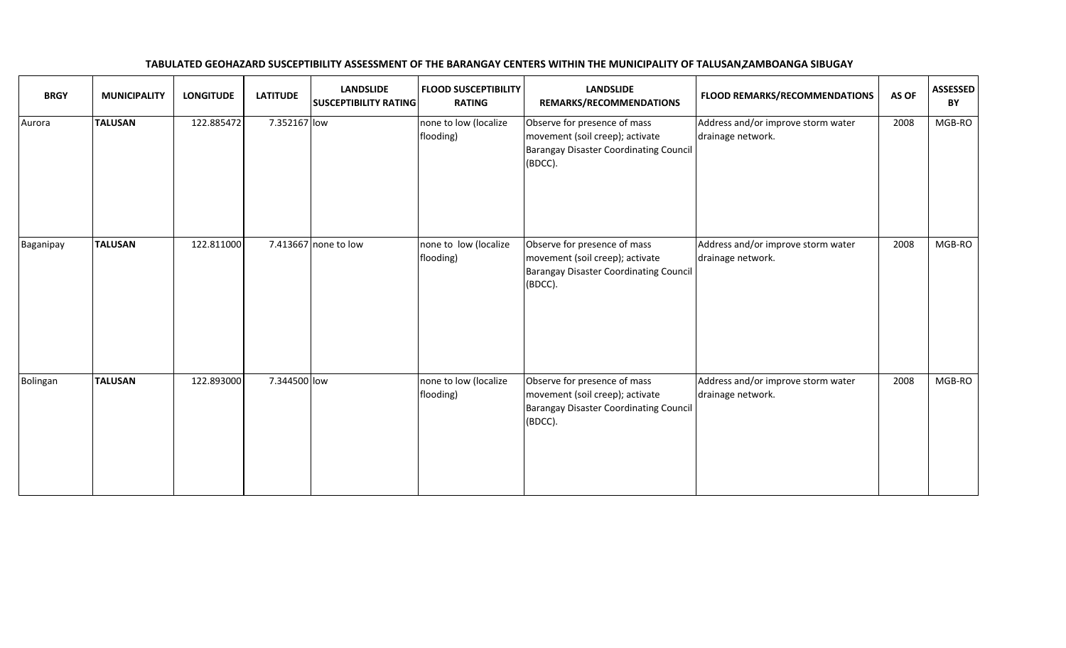| <b>BRGY</b> | <b>MUNICIPALITY</b> | <b>LONGITUDE</b> | <b>LATITUDE</b> | <b>LANDSLIDE</b><br><b>SUSCEPTIBILITY RATING</b> | <b>FLOOD SUSCEPTIBILITY</b><br><b>RATING</b> | <b>LANDSLIDE</b><br>REMARKS/RECOMMENDATIONS                                                                                 | <b>FLOOD REMARKS/RECOMMENDATIONS</b>                    | AS OF | <b>ASSESSED</b><br>BY |
|-------------|---------------------|------------------|-----------------|--------------------------------------------------|----------------------------------------------|-----------------------------------------------------------------------------------------------------------------------------|---------------------------------------------------------|-------|-----------------------|
| Aurora      | <b>TALUSAN</b>      | 122.885472       | 7.352167 low    |                                                  | none to low (localize<br>flooding)           | Observe for presence of mass<br>movement (soil creep); activate<br><b>Barangay Disaster Coordinating Council</b><br>(BDCC). | Address and/or improve storm water<br>drainage network. | 2008  | MGB-RO                |
| Baganipay   | <b>TALUSAN</b>      | 122.811000       |                 | 7.413667 none to low                             | none to low (localize<br>flooding)           | Observe for presence of mass<br>movement (soil creep); activate<br><b>Barangay Disaster Coordinating Council</b><br>(BDCC). | Address and/or improve storm water<br>drainage network. | 2008  | MGB-RO                |
| Bolingan    | <b>TALUSAN</b>      | 122.893000       | 7.344500 low    |                                                  | none to low (localize<br>flooding)           | Observe for presence of mass<br>movement (soil creep); activate<br><b>Barangay Disaster Coordinating Council</b><br>(BDCC). | Address and/or improve storm water<br>drainage network. | 2008  | MGB-RO                |

## TABULATED GEOHAZARD SUSCEPTIBILITY ASSESSMENT OF THE BARANGAY CENTERS WITHIN THE MUNICIPALITY OF TALUSAN, ZAMBOANGA SIBUGAY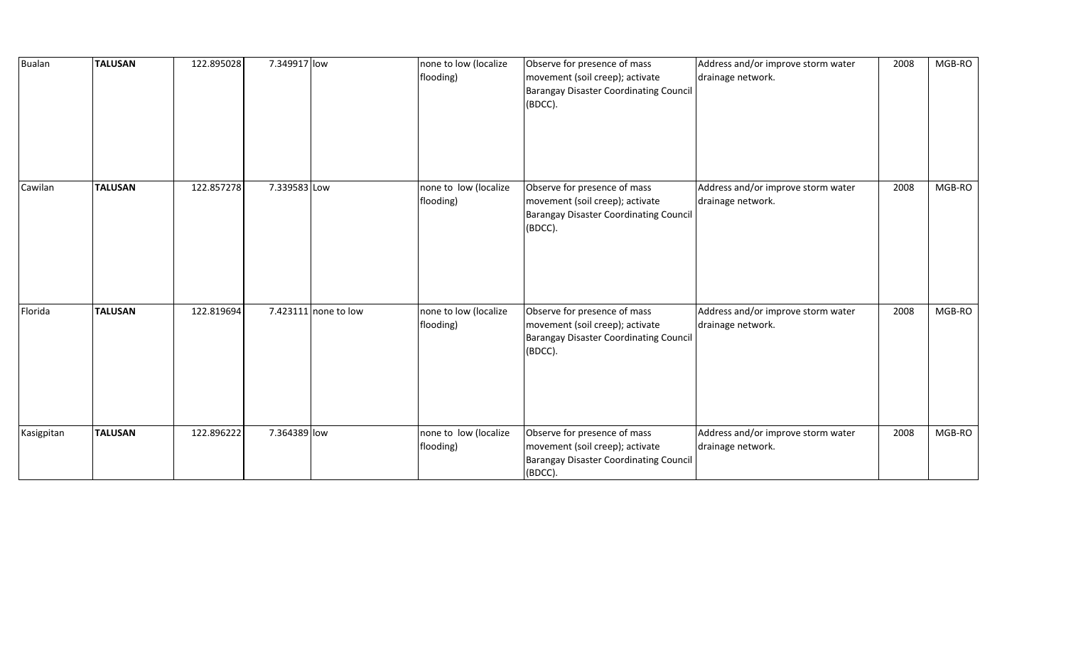| Bualan     | <b>TALUSAN</b> | 122.895028 | 7.349917 low |                      | none to low (localize<br>flooding) | Observe for presence of mass<br>movement (soil creep); activate<br><b>Barangay Disaster Coordinating Council</b><br>(BDCC). | Address and/or improve storm water<br>drainage network. | 2008 | MGB-RO |
|------------|----------------|------------|--------------|----------------------|------------------------------------|-----------------------------------------------------------------------------------------------------------------------------|---------------------------------------------------------|------|--------|
| Cawilan    | <b>TALUSAN</b> | 122.857278 | 7.339583 Low |                      | none to low (localize<br>flooding) | Observe for presence of mass<br>movement (soil creep); activate<br><b>Barangay Disaster Coordinating Council</b><br>(BDCC). | Address and/or improve storm water<br>drainage network. | 2008 | MGB-RO |
| Florida    | <b>TALUSAN</b> | 122.819694 |              | 7.423111 none to low | none to low (localize<br>flooding) | Observe for presence of mass<br>movement (soil creep); activate<br><b>Barangay Disaster Coordinating Council</b><br>(BDCC). | Address and/or improve storm water<br>drainage network. | 2008 | MGB-RO |
| Kasigpitan | <b>TALUSAN</b> | 122.896222 | 7.364389 low |                      | none to low (localize<br>flooding) | Observe for presence of mass<br>movement (soil creep); activate<br><b>Barangay Disaster Coordinating Council</b><br>(BDCC). | Address and/or improve storm water<br>drainage network. | 2008 | MGB-RO |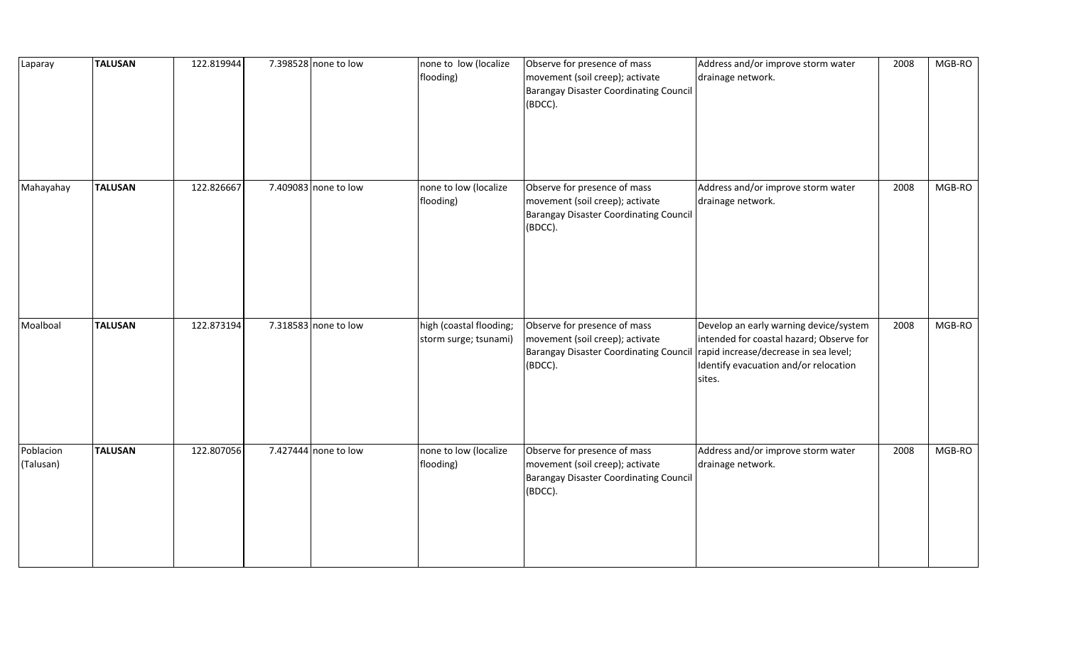| Laparay                | <b>TALUSAN</b> | 122.819944 | 7.398528 none to low | none to low (localize<br>flooding)               | Observe for presence of mass<br>movement (soil creep); activate<br><b>Barangay Disaster Coordinating Council</b><br>(BDCC). | Address and/or improve storm water<br>drainage network.                                                                                                                        | 2008 | MGB-RO |
|------------------------|----------------|------------|----------------------|--------------------------------------------------|-----------------------------------------------------------------------------------------------------------------------------|--------------------------------------------------------------------------------------------------------------------------------------------------------------------------------|------|--------|
| Mahayahay              | <b>TALUSAN</b> | 122.826667 | 7.409083 none to low | none to low (localize<br>flooding)               | Observe for presence of mass<br>movement (soil creep); activate<br><b>Barangay Disaster Coordinating Council</b><br>(BDCC). | Address and/or improve storm water<br>drainage network.                                                                                                                        | 2008 | MGB-RO |
| Moalboal               | <b>TALUSAN</b> | 122.873194 | 7.318583 none to low | high (coastal flooding;<br>storm surge; tsunami) | Observe for presence of mass<br>movement (soil creep); activate<br><b>Barangay Disaster Coordinating Council</b><br>(BDCC). | Develop an early warning device/system<br>intended for coastal hazard; Observe for<br>rapid increase/decrease in sea level;<br>Identify evacuation and/or relocation<br>sites. | 2008 | MGB-RO |
| Poblacion<br>(Talusan) | <b>TALUSAN</b> | 122.807056 | 7.427444 none to low | none to low (localize<br>flooding)               | Observe for presence of mass<br>movement (soil creep); activate<br><b>Barangay Disaster Coordinating Council</b><br>(BDCC). | Address and/or improve storm water<br>drainage network.                                                                                                                        | 2008 | MGB-RO |